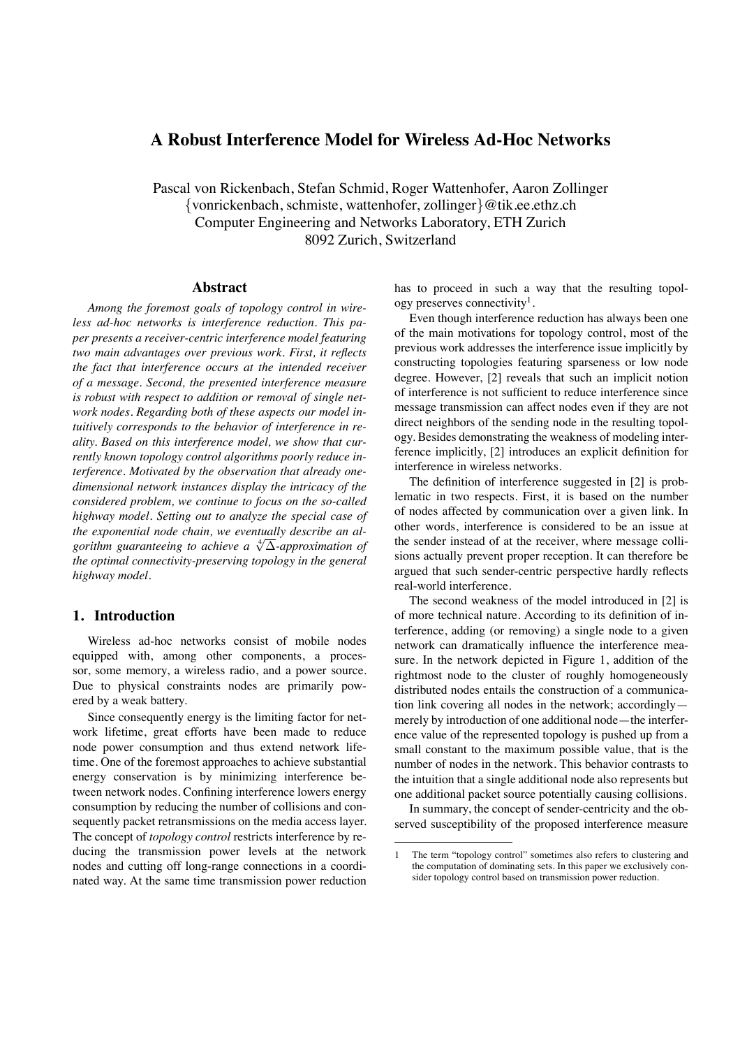# **A Robust Interference Model for Wireless Ad-Hoc Networks**

Pascal von Rickenbach, Stefan Schmid, Roger Wattenhofer, Aaron Zollinger {vonrickenbach, schmiste, wattenhofer, zollinger}@tik.ee.ethz.ch Computer Engineering and Networks Laboratory, ETH Zurich 8092 Zurich, Switzerland

#### **Abstract**

*Among the foremost goals of topology control in wireless ad-hoc networks is interference reduction. This paper presents a receiver-centric interference model featuring two main advantages over previous work. First, it reflects the fact that interference occurs at the intended receiver of a message. Second, the presented interference measure is robust with respect to addition or removal of single network nodes. Regarding both of these aspects our model intuitively corresponds to the behavior of interference in reality. Based on this interference model, we show that currently known topology control algorithms poorly reduce interference. Motivated by the observation that already onedimensional network instances display the intricacy of the considered problem, we continue to focus on the so-called highway model. Setting out to analyze the special case of the exponential node chain, we eventually describe an algorithm guaranteeing to achieve a*  $\sqrt[4]{\Delta}$ *-approximation of the optimal connectivity-preserving topology in the general highway model.*

## **1. Introduction**

Wireless ad-hoc networks consist of mobile nodes equipped with, among other components, a processor, some memory, a wireless radio, and a power source. Due to physical constraints nodes are primarily powered by a weak battery.

Since consequently energy is the limiting factor for network lifetime, great efforts have been made to reduce node power consumption and thus extend network lifetime. One of the foremost approaches to achieve substantial energy conservation is by minimizing interference between network nodes. Confining interference lowers energy consumption by reducing the number of collisions and consequently packet retransmissions on the media access layer. The concept of *topology control* restricts interference by reducing the transmission power levels at the network nodes and cutting off long-range connections in a coordinated way. At the same time transmission power reduction has to proceed in such a way that the resulting topology preserves connectivity<sup>1</sup>.

Even though interference reduction has always been one of the main motivations for topology control, most of the previous work addresses the interference issue implicitly by constructing topologies featuring sparseness or low node degree. However, [2] reveals that such an implicit notion of interference is not sufficient to reduce interference since message transmission can affect nodes even if they are not direct neighbors of the sending node in the resulting topology. Besides demonstrating the weakness of modeling interference implicitly, [2] introduces an explicit definition for interference in wireless networks.

The definition of interference suggested in [2] is problematic in two respects. First, it is based on the number of nodes affected by communication over a given link. In other words, interference is considered to be an issue at the sender instead of at the receiver, where message collisions actually prevent proper reception. It can therefore be argued that such sender-centric perspective hardly reflects real-world interference.

The second weakness of the model introduced in [2] is of more technical nature. According to its definition of interference, adding (or removing) a single node to a given network can dramatically influence the interference measure. In the network depicted in Figure 1, addition of the rightmost node to the cluster of roughly homogeneously distributed nodes entails the construction of a communication link covering all nodes in the network; accordingly merely by introduction of one additional node—the interference value of the represented topology is pushed up from a small constant to the maximum possible value, that is the number of nodes in the network. This behavior contrasts to the intuition that a single additional node also represents but one additional packet source potentially causing collisions.

In summary, the concept of sender-centricity and the observed susceptibility of the proposed interference measure

<sup>1</sup> The term "topology control" sometimes also refers to clustering and the computation of dominating sets. In this paper we exclusively consider topology control based on transmission power reduction.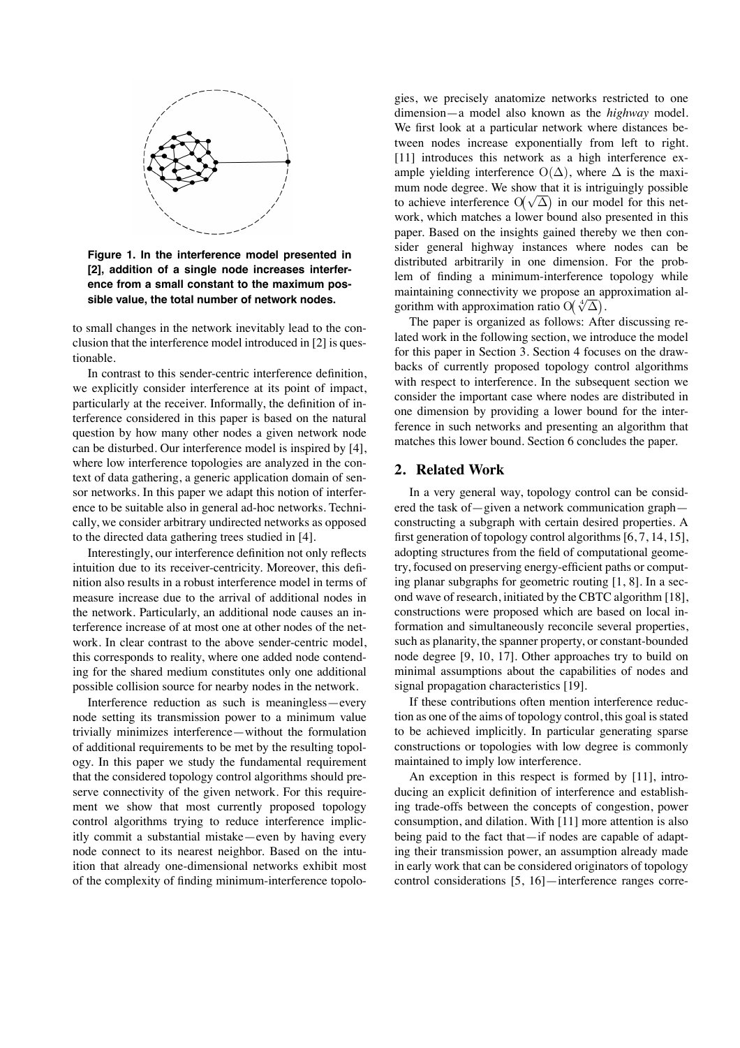

**Figure 1. In the interference model presented in [2], addition of a single node increases interference from a small constant to the maximum possible value, the total number of network nodes.**

to small changes in the network inevitably lead to the conclusion that the interference model introduced in [2] is questionable.

In contrast to this sender-centric interference definition, we explicitly consider interference at its point of impact, particularly at the receiver. Informally, the definition of interference considered in this paper is based on the natural question by how many other nodes a given network node can be disturbed. Our interference model is inspired by [4], where low interference topologies are analyzed in the context of data gathering, a generic application domain of sensor networks. In this paper we adapt this notion of interference to be suitable also in general ad-hoc networks. Technically, we consider arbitrary undirected networks as opposed to the directed data gathering trees studied in [4].

Interestingly, our interference definition not only reflects intuition due to its receiver-centricity. Moreover, this definition also results in a robust interference model in terms of measure increase due to the arrival of additional nodes in the network. Particularly, an additional node causes an interference increase of at most one at other nodes of the network. In clear contrast to the above sender-centric model, this corresponds to reality, where one added node contending for the shared medium constitutes only one additional possible collision source for nearby nodes in the network.

Interference reduction as such is meaningless—every node setting its transmission power to a minimum value trivially minimizes interference—without the formulation of additional requirements to be met by the resulting topology. In this paper we study the fundamental requirement that the considered topology control algorithms should preserve connectivity of the given network. For this requirement we show that most currently proposed topology control algorithms trying to reduce interference implicitly commit a substantial mistake—even by having every node connect to its nearest neighbor. Based on the intuition that already one-dimensional networks exhibit most of the complexity of finding minimum-interference topologies, we precisely anatomize networks restricted to one dimension—a model also known as the *highway* model. We first look at a particular network where distances between nodes increase exponentially from left to right. [11] introduces this network as a high interference example yielding interference  $O(\Delta)$ , where  $\Delta$  is the maximum node degree. We show that it is intriguingly possible to achieve interference  $O(\sqrt{\Delta})$  in our model for this network, which matches a lower bound also presented in this paper. Based on the insights gained thereby we then consider general highway instances where nodes can be distributed arbitrarily in one dimension. For the problem of finding a minimum-interference topology while maintaining connectivity we propose an approximation al- $\frac{1}{2}$  gorithm with approximation ratio O( $\sqrt[4]{\Delta}$ ).

The paper is organized as follows: After discussing related work in the following section, we introduce the model for this paper in Section 3. Section 4 focuses on the drawbacks of currently proposed topology control algorithms with respect to interference. In the subsequent section we consider the important case where nodes are distributed in one dimension by providing a lower bound for the interference in such networks and presenting an algorithm that matches this lower bound. Section 6 concludes the paper.

## **2. Related Work**

In a very general way, topology control can be considered the task of—given a network communication graph constructing a subgraph with certain desired properties. A first generation of topology control algorithms [6, 7, 14, 15], adopting structures from the field of computational geometry, focused on preserving energy-efficient paths or computing planar subgraphs for geometric routing [1, 8]. In a second wave of research, initiated by the CBTC algorithm [18], constructions were proposed which are based on local information and simultaneously reconcile several properties, such as planarity, the spanner property, or constant-bounded node degree [9, 10, 17]. Other approaches try to build on minimal assumptions about the capabilities of nodes and signal propagation characteristics [19].

If these contributions often mention interference reduction as one of the aims of topology control, this goal is stated to be achieved implicitly. In particular generating sparse constructions or topologies with low degree is commonly maintained to imply low interference.

An exception in this respect is formed by [11], introducing an explicit definition of interference and establishing trade-offs between the concepts of congestion, power consumption, and dilation. With [11] more attention is also being paid to the fact that—if nodes are capable of adapting their transmission power, an assumption already made in early work that can be considered originators of topology control considerations [5, 16]—interference ranges corre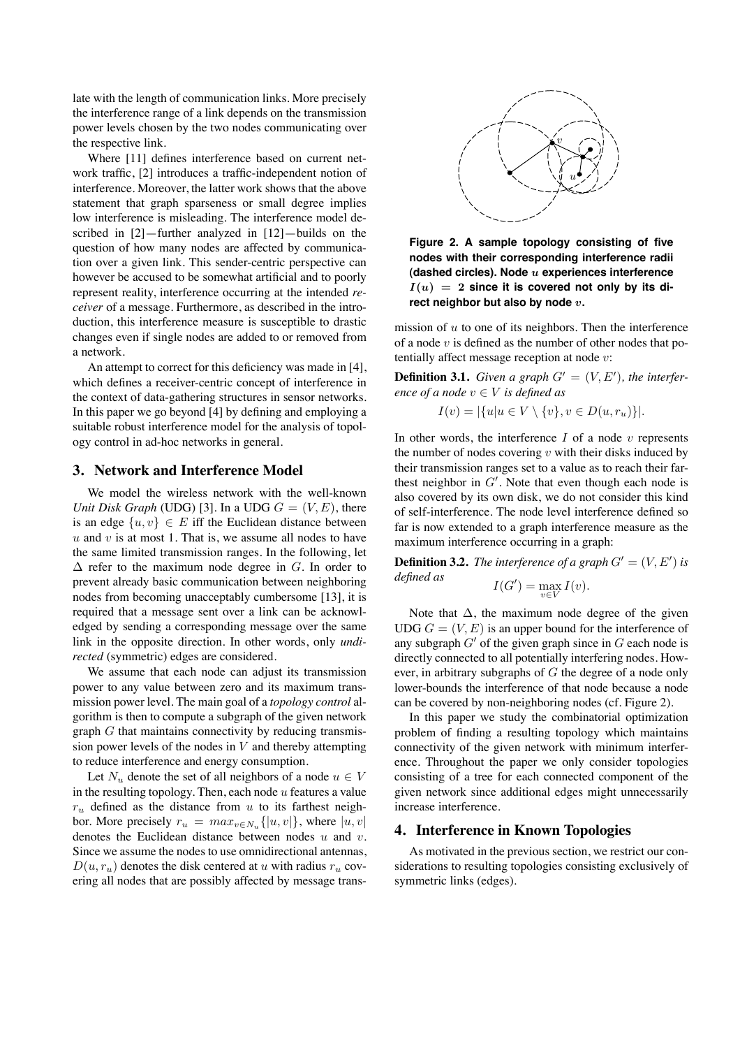late with the length of communication links. More precisely the interference range of a link depends on the transmission power levels chosen by the two nodes communicating over the respective link.

Where [11] defines interference based on current network traffic, [2] introduces a traffic-independent notion of interference. Moreover, the latter work shows that the above statement that graph sparseness or small degree implies low interference is misleading. The interference model described in [2]—further analyzed in [12]—builds on the question of how many nodes are affected by communication over a given link. This sender-centric perspective can however be accused to be somewhat artificial and to poorly represent reality, interference occurring at the intended *receiver* of a message. Furthermore, as described in the introduction, this interference measure is susceptible to drastic changes even if single nodes are added to or removed from a network.

An attempt to correct for this deficiency was made in [4], which defines a receiver-centric concept of interference in the context of data-gathering structures in sensor networks. In this paper we go beyond [4] by defining and employing a suitable robust interference model for the analysis of topology control in ad-hoc networks in general.

#### **3. Network and Interference Model**

We model the wireless network with the well-known *Unit Disk Graph* (UDG) [3]. In a UDG  $G = (V, E)$ , there is an edge  $\{u, v\} \in E$  iff the Euclidean distance between  $u$  and  $v$  is at most 1. That is, we assume all nodes to have the same limited transmission ranges. In the following, let  $\Delta$  refer to the maximum node degree in G. In order to prevent already basic communication between neighboring nodes from becoming unacceptably cumbersome [13], it is required that a message sent over a link can be acknowledged by sending a corresponding message over the same link in the opposite direction. In other words, only *undirected* (symmetric) edges are considered.

We assume that each node can adjust its transmission power to any value between zero and its maximum transmission power level. The main goal of a *topology control* algorithm is then to compute a subgraph of the given network graph  $G$  that maintains connectivity by reducing transmission power levels of the nodes in  $V$  and thereby attempting to reduce interference and energy consumption.

Let  $N_u$  denote the set of all neighbors of a node  $u \in V$ in the resulting topology. Then, each node  $u$  features a value  $r<sub>u</sub>$  defined as the distance from  $u$  to its farthest neighbor. More precisely  $r_u = max_{v \in N_u} \{|u, v|\}$ , where  $|u, v|$ denotes the Euclidean distance between nodes  $u$  and  $v$ . Since we assume the nodes to use omnidirectional antennas,  $D(u, r_u)$  denotes the disk centered at u with radius  $r_u$  covering all nodes that are possibly affected by message trans-



**Figure 2. A sample topology consisting of five nodes with their corresponding interference radii (dashed circles). Node** *u* **experiences interference**  $I(u) = 2$  since it is covered not only by its di**rect neighbor but also by node** *v***.**

mission of  $u$  to one of its neighbors. Then the interference of a node  $v$  is defined as the number of other nodes that potentially affect message reception at node  $v$ :

**Definition 3.1.** Given a graph  $G' = (V, E')$ , the interfer*ence of a node*  $v \in V$  *is defined as* 

$$
I(v) = |\{u|u \in V \setminus \{v\}, v \in D(u, r_u)\}|.
$$

In other words, the interference  $I$  of a node  $v$  represents the number of nodes covering  $v$  with their disks induced by their transmission ranges set to a value as to reach their farthest neighbor in  $G'$ . Note that even though each node is also covered by its own disk, we do not consider this kind of self-interference. The node level interference defined so far is now extended to a graph interference measure as the maximum interference occurring in a graph:

**Definition 3.2.** *The interference of a graph*  $G' = (V, E')$  *is defined as* <sup>I</sup>(G"  $\mathbf{r} \in \mathbb{R}$ 

$$
I(G') = \max_{v \in V} I(v).
$$

Note that  $\Delta$ , the maximum node degree of the given UDG  $G = (V, E)$  is an upper bound for the interference of any subgraph  $G'$  of the given graph since in  $G$  each node is directly connected to all potentially interfering nodes. However, in arbitrary subgraphs of  $G$  the degree of a node only lower-bounds the interference of that node because a node can be covered by non-neighboring nodes (cf. Figure 2).

In this paper we study the combinatorial optimization problem of finding a resulting topology which maintains connectivity of the given network with minimum interference. Throughout the paper we only consider topologies consisting of a tree for each connected component of the given network since additional edges might unnecessarily increase interference.

#### **4. Interference in Known Topologies**

As motivated in the previous section, we restrict our considerations to resulting topologies consisting exclusively of symmetric links (edges).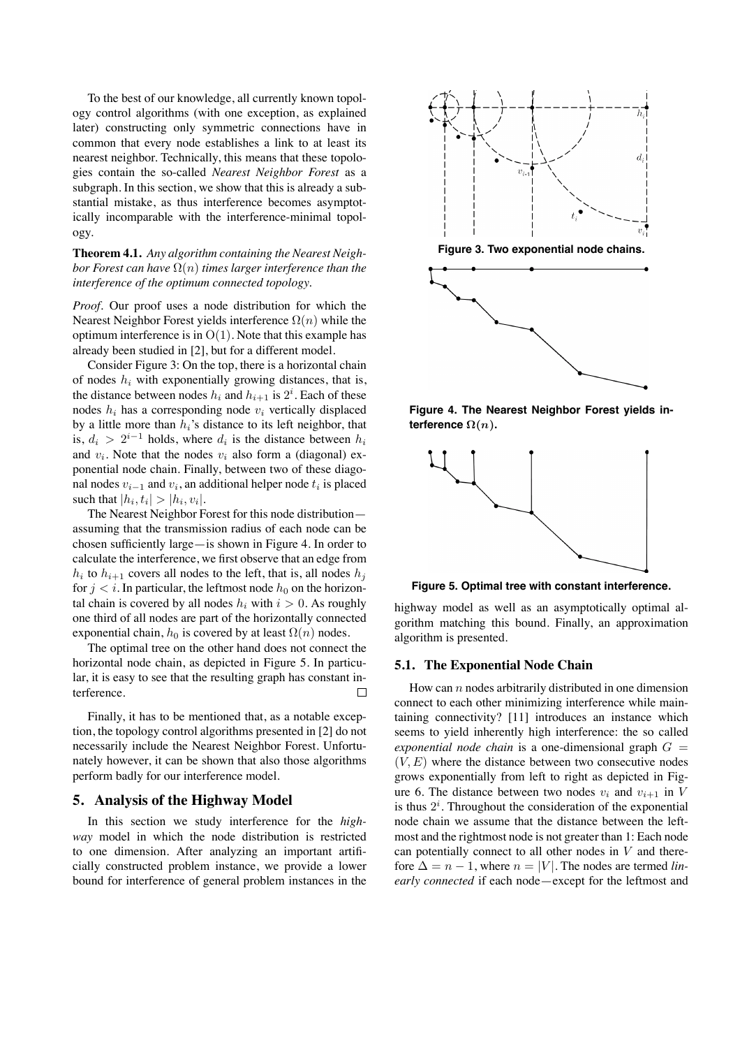To the best of our knowledge, all currently known topology control algorithms (with one exception, as explained later) constructing only symmetric connections have in common that every node establishes a link to at least its nearest neighbor. Technically, this means that these topologies contain the so-called *Nearest Neighbor Forest* as a subgraph. In this section, we show that this is already a substantial mistake, as thus interference becomes asymptotically incomparable with the interference-minimal topology.

**Theorem 4.1.** *Any algorithm containing the Nearest Neighbor Forest can have* Ω(n) *times larger interference than the interference of the optimum connected topology.*

*Proof.* Our proof uses a node distribution for which the Nearest Neighbor Forest yields interference  $\Omega(n)$  while the optimum interference is in  $O(1)$ . Note that this example has already been studied in [2], but for a different model.

Consider Figure 3: On the top, there is a horizontal chain of nodes h*<sup>i</sup>* with exponentially growing distances, that is, the distance between nodes  $h_i$  and  $h_{i+1}$  is  $2^i$ . Each of these nodes  $h_i$  has a corresponding node  $v_i$  vertically displaced by a little more than h*i*'s distance to its left neighbor, that is,  $d_i > 2^{i-1}$  holds, where  $d_i$  is the distance between  $h_i$ and  $v_i$ . Note that the nodes  $v_i$  also form a (diagonal) exponential node chain. Finally, between two of these diagonal nodes  $v_{i-1}$  and  $v_i$ , an additional helper node  $t_i$  is placed such that  $|h_i, t_i| > |h_i, v_i|$ .

The Nearest Neighbor Forest for this node distribution assuming that the transmission radius of each node can be chosen sufficiently large—is shown in Figure 4. In order to calculate the interference, we first observe that an edge from  $h_i$  to  $h_{i+1}$  covers all nodes to the left, that is, all nodes  $h_j$ for  $j < i$ . In particular, the leftmost node  $h_0$  on the horizontal chain is covered by all nodes  $h_i$  with  $i > 0$ . As roughly one third of all nodes are part of the horizontally connected exponential chain,  $h_0$  is covered by at least  $\Omega(n)$  nodes.

The optimal tree on the other hand does not connect the horizontal node chain, as depicted in Figure 5. In particular, it is easy to see that the resulting graph has constant interference.  $\Box$ 

Finally, it has to be mentioned that, as a notable exception, the topology control algorithms presented in [2] do not necessarily include the Nearest Neighbor Forest. Unfortunately however, it can be shown that also those algorithms perform badly for our interference model.

#### **5. Analysis of the Highway Model**

In this section we study interference for the *highway* model in which the node distribution is restricted to one dimension. After analyzing an important artificially constructed problem instance, we provide a lower bound for interference of general problem instances in the



**Figure 4. The Nearest Neighbor Forest yields interference** Ω(*n*)**.**



**Figure 5. Optimal tree with constant interference.**

highway model as well as an asymptotically optimal algorithm matching this bound. Finally, an approximation algorithm is presented.

#### **5.1. The Exponential Node Chain**

How can  $n$  nodes arbitrarily distributed in one dimension connect to each other minimizing interference while maintaining connectivity? [11] introduces an instance which seems to yield inherently high interference: the so called *exponential node chain* is a one-dimensional graph  $G =$  $(V, E)$  where the distance between two consecutive nodes grows exponentially from left to right as depicted in Figure 6. The distance between two nodes  $v_i$  and  $v_{i+1}$  in V is thus 2*<sup>i</sup>* . Throughout the consideration of the exponential node chain we assume that the distance between the leftmost and the rightmost node is not greater than 1: Each node can potentially connect to all other nodes in  $V$  and therefore  $\Delta = n - 1$ , where  $n = |V|$ . The nodes are termed *linearly connected* if each node—except for the leftmost and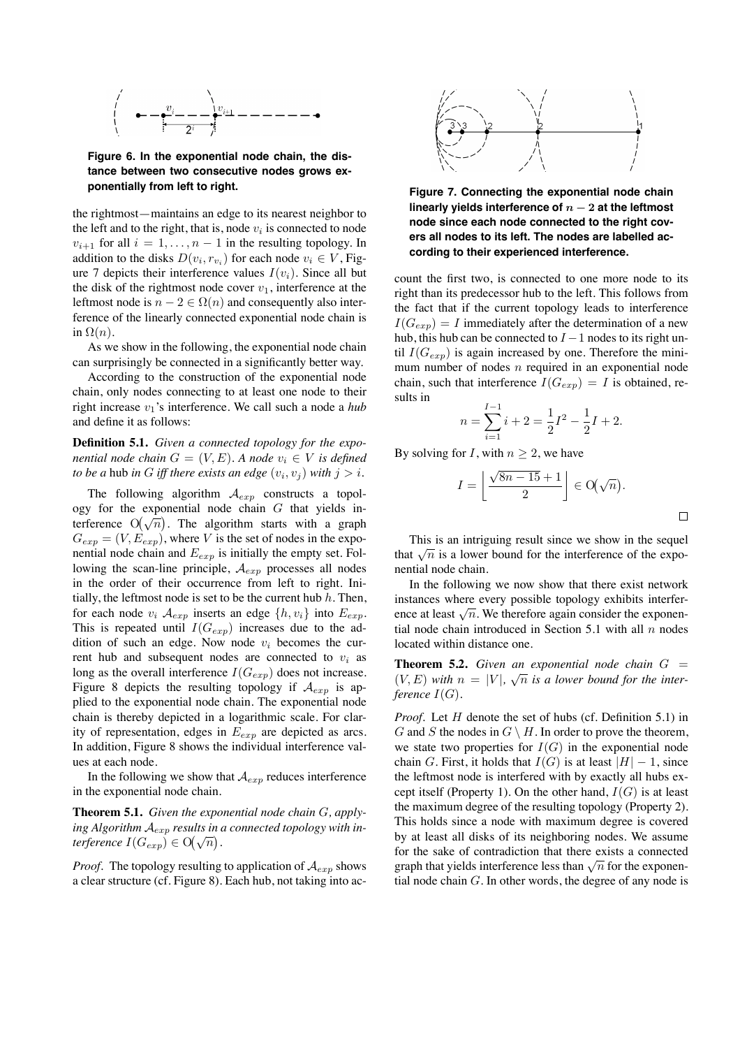

**Figure 6. In the exponential node chain, the distance between two consecutive nodes grows exponentially from left to right.**

the rightmost—maintains an edge to its nearest neighbor to the left and to the right, that is, node  $v_i$  is connected to node  $v_{i+1}$  for all  $i = 1, \ldots, n-1$  in the resulting topology. In addition to the disks  $D(v_i, r_{v_i})$  for each node  $v_i \in V$ , Figure 7 depicts their interference values  $I(v_i)$ . Since all but the disk of the rightmost node cover  $v_1$ , interference at the leftmost node is  $n - 2 \in \Omega(n)$  and consequently also interference of the linearly connected exponential node chain is in  $\Omega(n)$ .

As we show in the following, the exponential node chain can surprisingly be connected in a significantly better way.

According to the construction of the exponential node chain, only nodes connecting to at least one node to their right increase  $v_1$ 's interference. We call such a node a *hub* and define it as follows:

**Definition 5.1.** *Given a connected topology for the exponential node chain*  $G = (V, E)$ *. A node*  $v_i \in V$  *is defined to be a* hub *in G iff there exists an edge*  $(v_i, v_j)$  *with*  $j > i$ *.* 

The following algorithm A*exp* constructs a topology for the exponential node chain  $G$  that yields interference  $O(\sqrt{n})$ . The algorithm starts with a graph  $G_{exp} = (V, E_{exp})$ , where V is the set of nodes in the exponential node chain and E*exp* is initially the empty set. Following the scan-line principle, A*exp* processes all nodes in the order of their occurrence from left to right. Initially, the leftmost node is set to be the current hub  $h$ . Then, for each node  $v_i$   $\mathcal{A}_{exp}$  inserts an edge  $\{h, v_i\}$  into  $E_{exp}$ . This is repeated until  $I(G_{exp})$  increases due to the addition of such an edge. Now node  $v_i$  becomes the current hub and subsequent nodes are connected to  $v_i$  as long as the overall interference  $I(G_{exp})$  does not increase. Figure 8 depicts the resulting topology if  $A_{exp}$  is applied to the exponential node chain. The exponential node chain is thereby depicted in a logarithmic scale. For clarity of representation, edges in E*exp* are depicted as arcs. In addition, Figure 8 shows the individual interference values at each node.

In the following we show that  $A_{exp}$  reduces interference in the exponential node chain.

**Theorem 5.1.** *Given the exponential node chain* G*, applying Algorithm* A*exp results in a connected topology with interference*  $I(G_{exp}) \in O(\sqrt{n})$ .

*Proof.* The topology resulting to application of  $A_{exp}$  shows a clear structure (cf. Figure 8). Each hub, not taking into ac-



**Figure 7. Connecting the exponential node chain linearly yields interference of** *n* − 2 **at the leftmost node since each node connected to the right covers all nodes to its left. The nodes are labelled according to their experienced interference.**

count the first two, is connected to one more node to its right than its predecessor hub to the left. This follows from the fact that if the current topology leads to interference  $I(G_{\text{earn}}) = I$  immediately after the determination of a new hub, this hub can be connected to  $I - 1$  nodes to its right until  $I(G_{\text{earn}})$  is again increased by one. Therefore the minimum number of nodes  $n$  required in an exponential node chain, such that interference  $I(G_{exp}) = I$  is obtained, results in

$$
n = \sum_{i=1}^{I-1} i + 2 = \frac{1}{2}I^2 - \frac{1}{2}I + 2.
$$

By solving for I, with  $n \geq 2$ , we have

 $\overline{1}$ 

$$
I = \left\lfloor \frac{\sqrt{8n - 15} + 1}{2} \right\rfloor \in O(\sqrt{n}).
$$

This is an intriguing result since we show in the sequel that  $\sqrt{n}$  is a lower bound for the interference of the exponential node chain.

In the following we now show that there exist network instances where every possible topology exhibits interference at least  $\sqrt{n}$ . We therefore again consider the exponential node chain introduced in Section 5.1 with all  $n$  nodes located within distance one.

**Theorem 5.2.** *Given an exponential node chain*  $G =$  $(V, E)$  with  $n = |V|$ ,  $\sqrt{n}$  is a lower bound for the inter*ference*  $I(G)$ *.* 

*Proof.* Let H denote the set of hubs (cf. Definition 5.1) in G and S the nodes in  $G \setminus H$ . In order to prove the theorem, we state two properties for  $I(G)$  in the exponential node chain G. First, it holds that  $I(G)$  is at least  $|H| - 1$ , since the leftmost node is interfered with by exactly all hubs except itself (Property 1). On the other hand,  $I(G)$  is at least the maximum degree of the resulting topology (Property 2). This holds since a node with maximum degree is covered by at least all disks of its neighboring nodes. We assume for the sake of contradiction that there exists a connected graph that yields interference less than  $\sqrt{n}$  for the exponential node chain  $G$ . In other words, the degree of any node is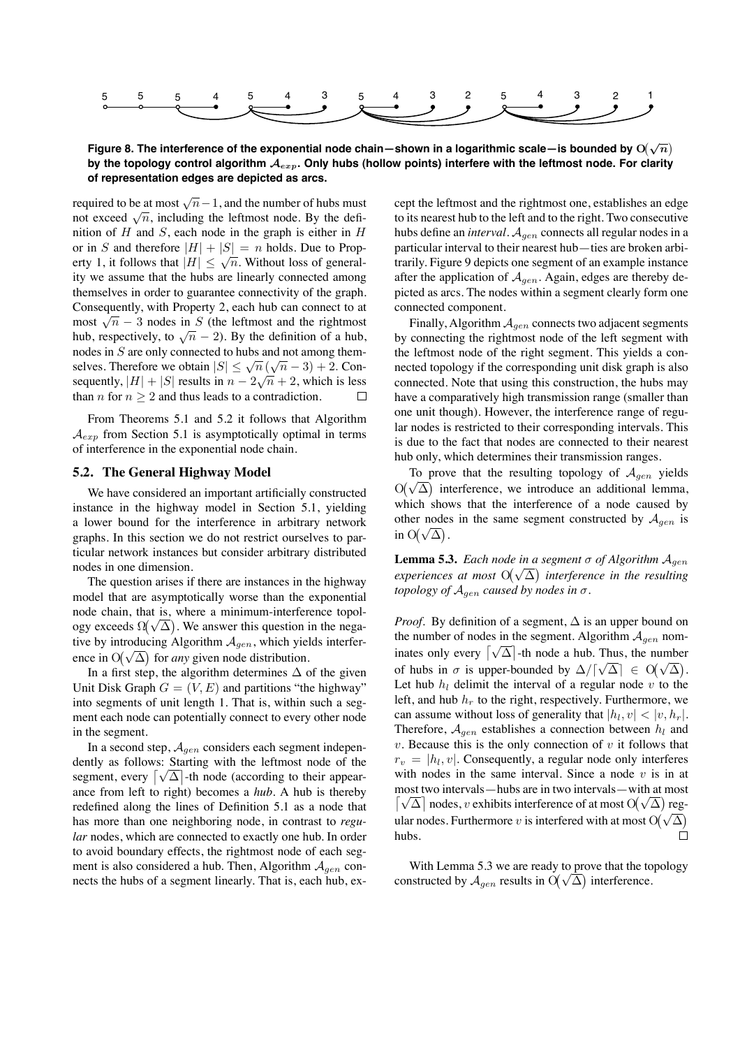

Figure 8. The interference of the exponential node chain—shown in a logarithmic scale—is bounded by  $\mathrm{O}(\sqrt{n})$ **by the topology control algorithm** A*exp***. Only hubs (hollow points) interfere with the leftmost node. For clarity of representation edges are depicted as arcs.**

required to be at most  $\sqrt{n}-1$ , and the number of hubs must not exceed  $\sqrt{n}$ , including the leftmost node. By the definition of H and S, each node in the graph is either in H or in S and therefore  $|H| + |S| = n$  holds. Due to Property 1, it follows that  $|H| \leq \sqrt{n}$ . Without loss of generality we assume that the hubs are linearly connected among themselves in order to guarantee connectivity of the graph. Consequently, with Property 2, each hub can connect to at most  $\sqrt{n}$  – 3 nodes in S (the leftmost and the rightmost hub, respectively, to  $\sqrt{n} - 2$ ). By the definition of a hub, nodes in S are only connected to hubs and not among themselves. Therefore we obtain  $|S| \le \sqrt{n} (\sqrt{n} - 3) + 2$ . Consequently,  $|H| + |S|$  results in  $n - 2\sqrt{n} + 2$ , which is less than *n* for  $n \geq 2$  and thus leads to a contradiction.  $\Box$ 

From Theorems 5.1 and 5.2 it follows that Algorithm A*exp* from Section 5.1 is asymptotically optimal in terms of interference in the exponential node chain.

#### **5.2. The General Highway Model**

We have considered an important artificially constructed instance in the highway model in Section 5.1, yielding a lower bound for the interference in arbitrary network graphs. In this section we do not restrict ourselves to particular network instances but consider arbitrary distributed nodes in one dimension.

The question arises if there are instances in the highway model that are asymptotically worse than the exponential node chain, that is, where a minimum-interference topology exceeds  $\Omega(\sqrt{\Delta})$ . We answer this question in the negative by introducing Algorithm A*gen*, which yields interference in  $O(\sqrt{\Delta})$  for *any* given node distribution.

In a first step, the algorithm determines  $\Delta$  of the given Unit Disk Graph  $G = (V, E)$  and partitions "the highway" into segments of unit length 1. That is, within such a segment each node can potentially connect to every other node in the segment.

In a second step, A*gen* considers each segment independently as follows: Starting with the leftmost node of the segment, every  $\lceil \sqrt{\Delta} \rceil$ -th node (according to their appearance from left to right) becomes a *hub*. A hub is thereby redefined along the lines of Definition 5.1 as a node that has more than one neighboring node, in contrast to *regular* nodes, which are connected to exactly one hub. In order to avoid boundary effects, the rightmost node of each segment is also considered a hub. Then, Algorithm A*gen* connects the hubs of a segment linearly. That is, each hub, except the leftmost and the rightmost one, establishes an edge to its nearest hub to the left and to the right. Two consecutive hubs define an *interval*. A*gen* connects all regular nodes in a particular interval to their nearest hub—ties are broken arbitrarily. Figure 9 depicts one segment of an example instance after the application of A*gen*. Again, edges are thereby depicted as arcs. The nodes within a segment clearly form one connected component.

Finally, Algorithm A*gen* connects two adjacent segments by connecting the rightmost node of the left segment with the leftmost node of the right segment. This yields a connected topology if the corresponding unit disk graph is also connected. Note that using this construction, the hubs may have a comparatively high transmission range (smaller than one unit though). However, the interference range of regular nodes is restricted to their corresponding intervals. This is due to the fact that nodes are connected to their nearest hub only, which determines their transmission ranges.

To prove that the resulting topology of A*gen* yields  $O(\sqrt{\Delta})$  interference, we introduce an additional lemma, which shows that the interference of a node caused by other nodes in the same segment constructed by A*gen* is in  $O(\sqrt{\Delta})$ .

**Lemma 5.3.** *Each node in a segment*  $\sigma$  *of Algorithm*  $A_{gen}$  $\alpha$  *experiences at most*  $O(\sqrt{\Delta})$  *interference in the resulting topology of*  $A_{gen}$  *caused by nodes in*  $\sigma$ *.* 

*Proof.* By definition of a segment,  $\Delta$  is an upper bound on the number of nodes in the segment. Algorithm A*gen* nominates only every  $\lceil \sqrt{\Delta} \rceil$ -th node a hub. Thus, the number of hubs in  $\sigma$  is upper-bounded by  $\Delta / [\sqrt{\Delta}] \in O(\sqrt{\Delta})$ . Let hub  $h_l$  delimit the interval of a regular node  $v$  to the left, and hub h*<sup>r</sup>* to the right, respectively. Furthermore, we can assume without loss of generality that  $|h_l, v| < |v, h_r|$ . Therefore,  $A_{gen}$  establishes a connection between  $h_l$  and  $v$ . Because this is the only connection of  $v$  it follows that  $r_v = |h_l, v|$ . Consequently, a regular node only interferes with nodes in the same interval. Since a node  $v$  is in at most two intervals—hubs are in two intervals—with at most  $\lceil \sqrt{\Delta} \rceil$  nodes, v exhibits interference of at most  $O(\sqrt{\Delta})$  regular nodes. Furthermore v is interfered with at most  $O(\sqrt{\Delta})$ hubs. Ò

With Lemma 5.3 we are ready to prove that the topology constructed by  $A_{gen}$  results in  $O(\sqrt{\Delta})$  interference.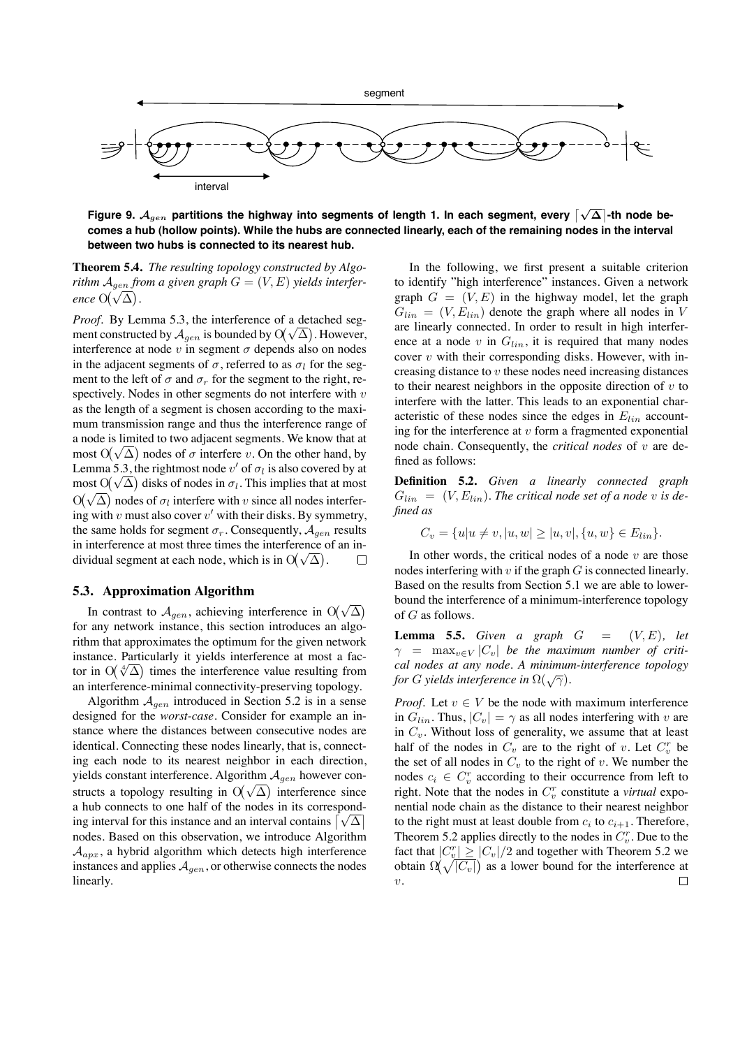

**Figure 9.** <sup>A</sup>*gen* **partitions the highway into segments of length 1. In each segment, every** #√∆\$ **-th node becomes a hub (hollow points). While the hubs are connected linearly, each of the remaining nodes in the interval between two hubs is connected to its nearest hub.**

**Theorem 5.4.** *The resulting topology constructed by Algorithm*  $A_{gen}$  *from a given graph*  $G = (V, E)$  *yields interfer* $ence \overline{O(\sqrt{\Delta})}.$ 

*Proof.* By Lemma 5.3, the interference of a detached segment constructed by  $A_{gen}$  is bounded by  $O(\sqrt{\Delta})$ . However, interference at node  $v$  in segment  $\sigma$  depends also on nodes in the adjacent segments of  $\sigma$ , referred to as  $\sigma_l$  for the segment to the left of  $\sigma$  and  $\sigma_r$  for the segment to the right, respectively. Nodes in other segments do not interfere with  $v$ as the length of a segment is chosen according to the maximum transmission range and thus the interference range of a node is limited to two adjacent segments. We know that at a node is immed to the adjacent segments. We also that at a most  $O(\sqrt{\Delta})$  nodes of  $\sigma$  interfere v. On the other hand, by Lemma 5.3, the rightmost node  $v'$  of  $\sigma_l$  is also covered by at  $\lim_{\delta \to 0} \frac{\partial u}{\partial \delta}$  disks of nodes in  $\sigma_l$ . This implies that at most  $O(\sqrt{\Delta})$  nodes of  $\sigma_l$  interfere with v since all nodes interfering with  $v$  must also cover  $v'$  with their disks. By symmetry, the same holds for segment  $\sigma_r$ . Consequently,  $A_{gen}$  results in interference at most three times the interference of an individual segment at each node, which is in  $O(\sqrt{\Delta})$ .  $\Box$ 

#### **5.3. Approximation Algorithm**

In contrast to  $\mathcal{A}_{gen}$ , achieving interference in  $O(\sqrt{\Delta})$ for any network instance, this section introduces an algorithm that approximates the optimum for the given network instance. Particularly it yields interference at most a factor in  $O(\sqrt[4]{\Delta})$  times the interference value resulting from an interference-minimal connectivity-preserving topology.

Algorithm A*gen* introduced in Section 5.2 is in a sense designed for the *worst-case*. Consider for example an instance where the distances between consecutive nodes are identical. Connecting these nodes linearly, that is, connecting each node to its nearest neighbor in each direction, yields constant interference. Algorithm A*gen* however constructs a topology resulting in  $O(\sqrt{\Delta})$  interference since a hub connects to one half of the nodes in its corresponding interval for this instance and an interval contains  $\sqrt{\Delta}$ nodes. Based on this observation, we introduce Algorithm  $A<sub>apx</sub>$ , a hybrid algorithm which detects high interference instances and applies  $A_{gen}$ , or otherwise connects the nodes linearly.

In the following, we first present a suitable criterion to identify "high interference" instances. Given a network graph  $G = (V, E)$  in the highway model, let the graph  $G_{lin} = (V, E_{lin})$  denote the graph where all nodes in V are linearly connected. In order to result in high interference at a node  $v$  in  $G_{lin}$ , it is required that many nodes cover  $v$  with their corresponding disks. However, with increasing distance to  $v$  these nodes need increasing distances to their nearest neighbors in the opposite direction of  $v$  to interfere with the latter. This leads to an exponential characteristic of these nodes since the edges in  $E_{lin}$  accounting for the interference at  $v$  form a fragmented exponential node chain. Consequently, the *critical nodes* of v are defined as follows:

**Definition 5.2.** *Given a linearly connected graph*  $G_{lin} = (V, E_{lin})$ . The critical node set of a node v is de*fined as*

$$
C_v = \{u|u \neq v, |u, w| \geq |u, v|, \{u, w\} \in E_{lin}\}.
$$

In other words, the critical nodes of a node  $v$  are those nodes interfering with  $v$  if the graph  $G$  is connected linearly. Based on the results from Section 5.1 we are able to lowerbound the interference of a minimum-interference topology of G as follows.

**Lemma 5.5.** *Given a graph*  $G = (V, E)$ *, let*  $\gamma$  = max<sub>*v*∈*V*</sub> | *C<sub><i>v*</sub> | *be the maximum number of critical nodes at any node. A minimum-interference topology* for G yields interference in  $\Omega(\sqrt{\gamma})$ .

*Proof.* Let  $v \in V$  be the node with maximum interference in  $G_{lin}$ . Thus,  $|C_v| = \gamma$  as all nodes interfering with v are in C*v*. Without loss of generality, we assume that at least half of the nodes in  $C_v$  are to the right of v. Let  $C_v^r$  be the set of all nodes in  $C_v$  to the right of  $v$ . We number the nodes  $c_i \in C_v^r$  according to their occurrence from left to right. Note that the nodes in  $C_v^r$  constitute a *virtual* exponential node chain as the distance to their nearest neighbor to the right must at least double from  $c_i$  to  $c_{i+1}$ . Therefore, Theorem 5.2 applies directly to the nodes in  $C_v^r$ . Due to the fact that  $|C_v^r| \ge |C_v|/2$  and together with Theorem 5.2 we obtain  $\Omega(\sqrt{|C_v|})$  as a lower bound for the interference at  $\Box$  $\eta$ .